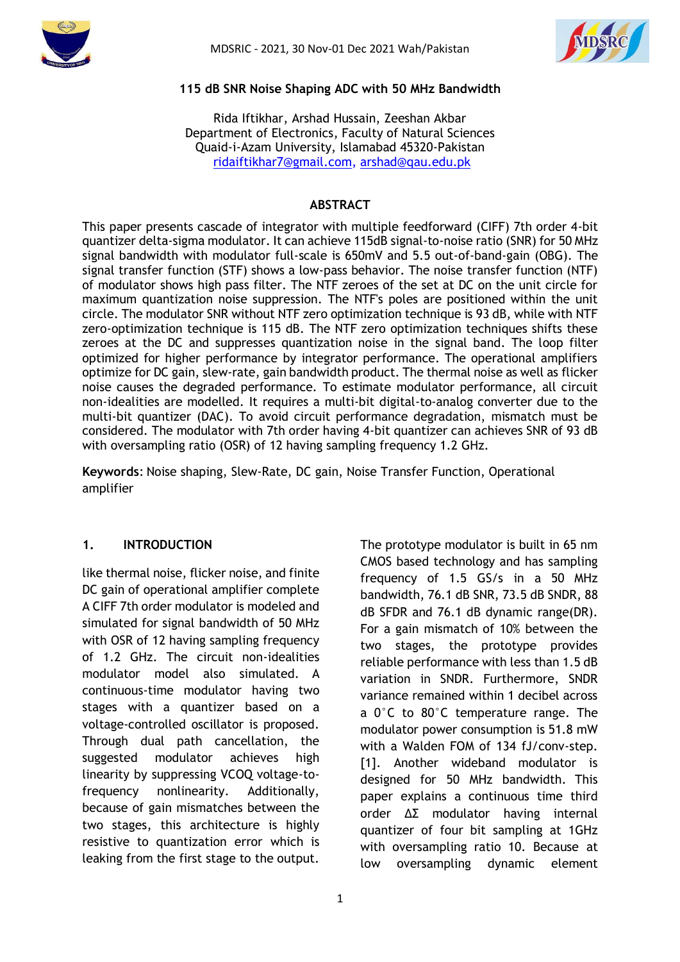



#### **115 dB SNR Noise Shaping ADC with 50 MHz Bandwidth**

Rida Iftikhar, Arshad Hussain, Zeeshan Akbar Department of Electronics, Faculty of Natural Sciences Quaid-i-Azam University, Islamabad 45320-Pakistan [ridaiftikhar7@gmail.com,](mailto:%20m.ahmad.qau@gmail.com) [arshad@qau.edu.pk](mailto:arshad@qau.edu.pk)

#### **ABSTRACT**

This paper presents cascade of integrator with multiple feedforward (CIFF) 7th order 4-bit quantizer delta-sigma modulator. It can achieve 115dB signal-to-noise ratio (SNR) for 50 MHz signal bandwidth with modulator full-scale is 650mV and 5.5 out-of-band-gain (OBG). The signal transfer function (STF) shows a low-pass behavior. The noise transfer function (NTF) of modulator shows high pass filter. The NTF zeroes of the set at DC on the unit circle for maximum quantization noise suppression. The NTF's poles are positioned within the unit circle. The modulator SNR without NTF zero optimization technique is 93 dB, while with NTF zero-optimization technique is 115 dB. The NTF zero optimization techniques shifts these zeroes at the DC and suppresses quantization noise in the signal band. The loop filter optimized for higher performance by integrator performance. The operational amplifiers optimize for DC gain, slew-rate, gain bandwidth product. The thermal noise as well as flicker noise causes the degraded performance. To estimate modulator performance, all circuit non-idealities are modelled. It requires a multi-bit digital-to-analog converter due to the multi-bit quantizer (DAC). To avoid circuit performance degradation, mismatch must be considered. The modulator with 7th order having 4-bit quantizer can achieves SNR of 93 dB with oversampling ratio (OSR) of 12 having sampling frequency 1.2 GHz.

**Keywords**: Noise shaping, Slew-Rate, DC gain, Noise Transfer Function, Operational amplifier

### **1. INTRODUCTION**

like thermal noise, flicker noise, and finite DC gain of operational amplifier complete A CIFF 7th order modulator is modeled and simulated for signal bandwidth of 50 MHz with OSR of 12 having sampling frequency of 1.2 GHz. The circuit non-idealities modulator model also simulated. A continuous-time modulator having two stages with a quantizer based on a voltage-controlled oscillator is proposed. Through dual path cancellation, the suggested modulator achieves high linearity by suppressing VCOQ voltage-tofrequency nonlinearity. Additionally, because of gain mismatches between the two stages, this architecture is highly resistive to quantization error which is leaking from the first stage to the output.

The prototype modulator is built in 65 nm CMOS based technology and has sampling frequency of 1.5 GS/s in a 50 MHz bandwidth, 76.1 dB SNR, 73.5 dB SNDR, 88 dB SFDR and 76.1 dB dynamic range(DR). For a gain mismatch of 10% between the two stages, the prototype provides reliable performance with less than 1.5 dB variation in SNDR. Furthermore, SNDR variance remained within 1 decibel across a 0°C to 80°C temperature range. The modulator power consumption is 51.8 mW with a Walden FOM of 134 fJ/conv-step. [1]. Another wideband modulator is designed for 50 MHz bandwidth. This paper explains a continuous time third order ΔΣ modulator having internal quantizer of four bit sampling at 1GHz with oversampling ratio 10. Because at low oversampling dynamic element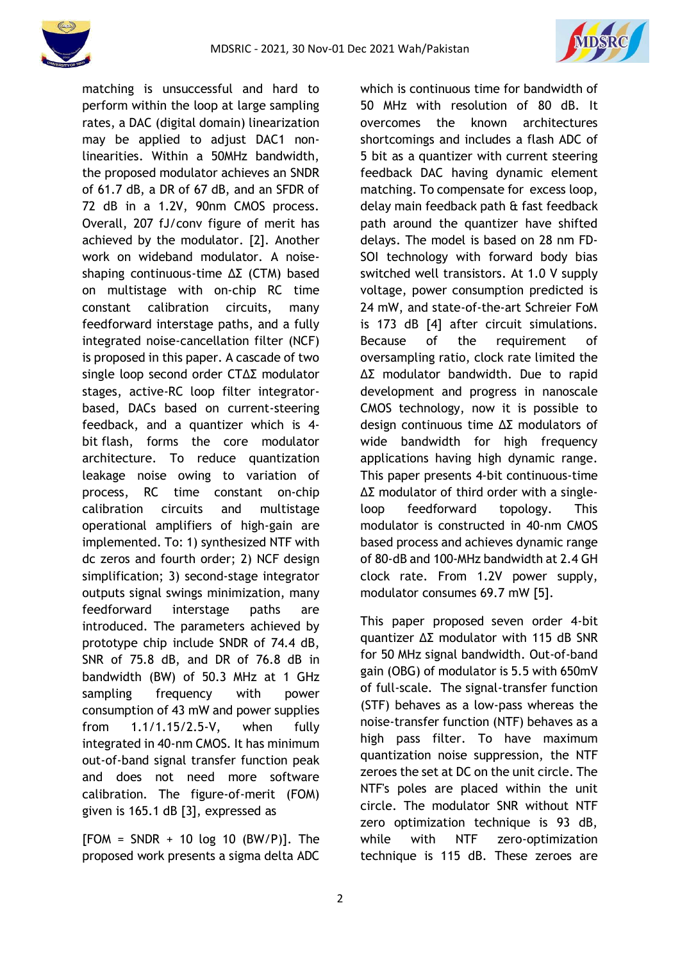



matching is unsuccessful and hard to perform within the loop at large sampling rates, a DAC (digital domain) linearization may be applied to adjust DAC1 nonlinearities. Within a 50MHz bandwidth, the proposed modulator achieves an SNDR of 61.7 dB, a DR of 67 dB, and an SFDR of 72 dB in a 1.2V, 90nm CMOS process. Overall, 207 fJ/conv figure of merit has achieved by the modulator. [2]. Another work on wideband modulator. A noiseshaping continuous-time ΔΣ (CTM) based on multistage with on-chip RC time constant calibration circuits, many feedforward interstage paths, and a fully integrated noise-cancellation filter (NCF) is proposed in this paper. A cascade of two single loop second order CTΔΣ modulator stages, active-RC loop filter integratorbased, DACs based on current-steering feedback, and a quantizer which is 4 bit flash, forms the core modulator architecture. To reduce quantization leakage noise owing to variation of process, RC time constant on-chip calibration circuits and multistage operational amplifiers of high-gain are implemented. To: 1) synthesized NTF with dc zeros and fourth order; 2) NCF design simplification; 3) second-stage integrator outputs signal swings minimization, many feedforward interstage paths are introduced. The parameters achieved by prototype chip include SNDR of 74.4 dB, SNR of 75.8 dB, and DR of 76.8 dB in bandwidth (BW) of 50.3 MHz at 1 GHz sampling frequency with power consumption of 43 mW and power supplies from 1.1/1.15/2.5-V, when fully integrated in 40-nm CMOS. It has minimum out-of-band signal transfer function peak and does not need more software calibration. The figure-of-merit (FOM) given is 165.1 dB [3], expressed as

 $[FORM = SNDR + 10 log 10 (BW/P)].$  The proposed work presents a sigma delta ADC

which is continuous time for bandwidth of 50 MHz with resolution of 80 dB. It overcomes the known architectures shortcomings and includes a flash ADC of 5 bit as a quantizer with current steering feedback DAC having dynamic element matching. To compensate for excess loop, delay main feedback path & fast feedback path around the quantizer have shifted delays. The model is based on 28 nm FD-SOI technology with forward body bias switched well transistors. At 1.0 V supply voltage, power consumption predicted is 24 mW, and state-of-the-art Schreier FoM is 173 dB [4] after circuit simulations. Because of the requirement of oversampling ratio, clock rate limited the ΔΣ modulator bandwidth. Due to rapid development and progress in nanoscale CMOS technology, now it is possible to design continuous time ΔΣ modulators of wide bandwidth for high frequency applications having high dynamic range. This paper presents 4-bit continuous-time ΔΣ modulator of third order with a singleloop feedforward topology. This modulator is constructed in 40-nm CMOS based process and achieves dynamic range of 80-dB and 100-MHz bandwidth at 2.4 GH clock rate. From 1.2V power supply, modulator consumes 69.7 mW [5].

This paper proposed seven order 4-bit quantizer ΔΣ modulator with 115 dB SNR for 50 MHz signal bandwidth. Out-of-band gain (OBG) of modulator is 5.5 with 650mV of full-scale. The signal-transfer function (STF) behaves as a low-pass whereas the noise-transfer function (NTF) behaves as a high pass filter. To have maximum quantization noise suppression, the NTF zeroes the set at DC on the unit circle. The NTF's poles are placed within the unit circle. The modulator SNR without NTF zero optimization technique is 93 dB, while with NTF zero-optimization technique is 115 dB. These zeroes are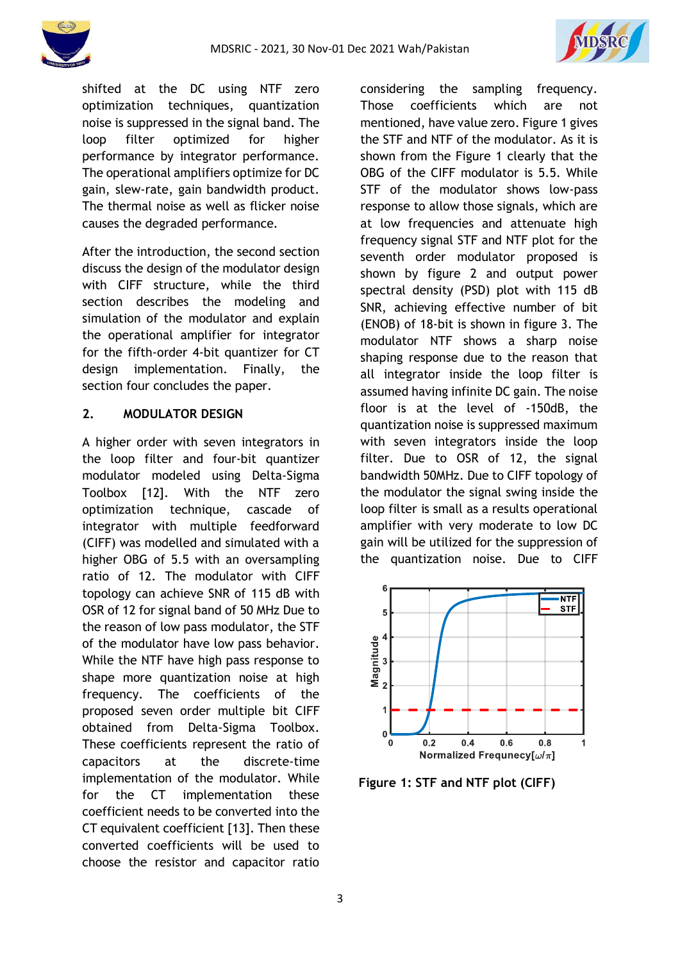



shifted at the DC using NTF zero optimization techniques, quantization noise is suppressed in the signal band. The loop filter optimized for higher performance by integrator performance. The operational amplifiers optimize for DC gain, slew-rate, gain bandwidth product. The thermal noise as well as flicker noise causes the degraded performance.

After the introduction, the second section discuss the design of the modulator design with CIFF structure, while the third section describes the modeling and simulation of the modulator and explain the operational amplifier for integrator for the fifth-order 4-bit quantizer for CT design implementation. Finally, the section four concludes the paper.

## **2. MODULATOR DESIGN**

A higher order with seven integrators in the loop filter and four-bit quantizer modulator modeled using Delta-Sigma Toolbox [12]. With the NTF zero optimization technique, cascade of integrator with multiple feedforward (CIFF) was modelled and simulated with a higher OBG of 5.5 with an oversampling ratio of 12. The modulator with CIFF topology can achieve SNR of 115 dB with OSR of 12 for signal band of 50 MHz Due to the reason of low pass modulator, the STF of the modulator have low pass behavior. While the NTF have high pass response to shape more quantization noise at high frequency. The coefficients of the proposed seven order multiple bit CIFF obtained from Delta-Sigma Toolbox. These coefficients represent the ratio of capacitors at the discrete-time implementation of the modulator. While for the CT implementation these coefficient needs to be converted into the CT equivalent coefficient [13]. Then these converted coefficients will be used to choose the resistor and capacitor ratio considering the sampling frequency. Those coefficients which are not mentioned, have value zero. Figure 1 gives the STF and NTF of the modulator. As it is shown from the Figure 1 clearly that the OBG of the CIFF modulator is 5.5. While STF of the modulator shows low-pass response to allow those signals, which are at low frequencies and attenuate high frequency signal STF and NTF plot for the seventh order modulator proposed is shown by figure 2 and output power spectral density (PSD) plot with 115 dB SNR, achieving effective number of bit (ENOB) of 18-bit is shown in figure 3. The modulator NTF shows a sharp noise shaping response due to the reason that all integrator inside the loop filter is assumed having infinite DC gain. The noise floor is at the level of -150dB, the quantization noise is suppressed maximum with seven integrators inside the loop filter. Due to OSR of 12, the signal bandwidth 50MHz. Due to CIFF topology of the modulator the signal swing inside the loop filter is small as a results operational amplifier with very moderate to low DC gain will be utilized for the suppression of the quantization noise. Due to CIFF



**Figure 1: STF and NTF plot (CIFF)**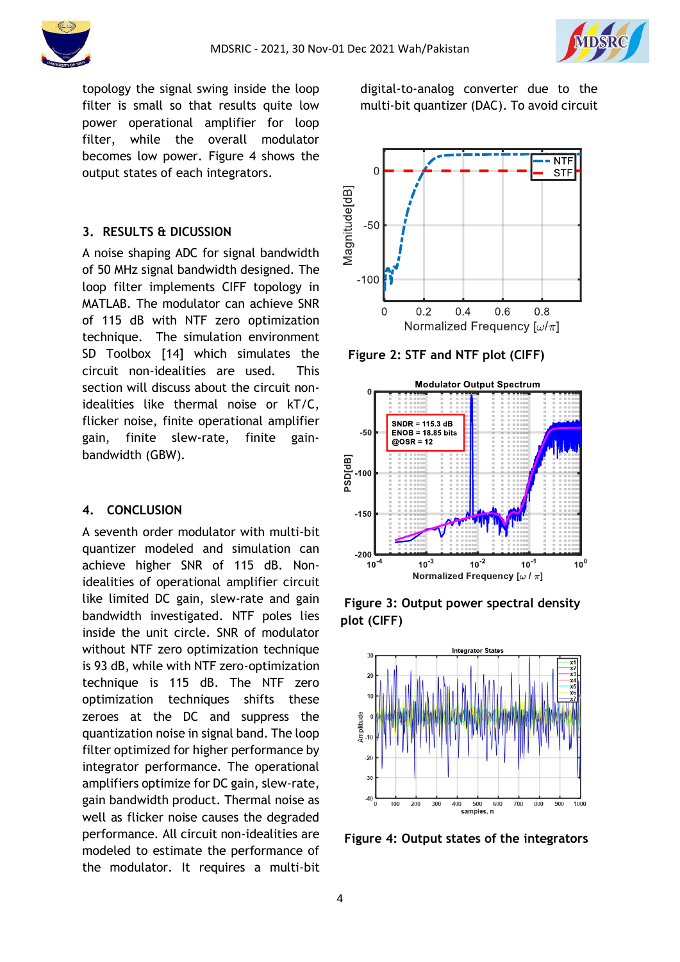

topology the signal swing inside the loop filter is small so that results quite low power operational amplifier for loop filter, while the overall modulator becomes low power. Figure 4 shows the output states of each integrators.

## **3. RESULTS & DICUSSION**

A noise shaping ADC for signal bandwidth of 50 MHz signal bandwidth designed. The loop filter implements CIFF topology in MATLAB. The modulator can achieve SNR of 115 dB with NTF zero optimization technique. The simulation environment SD Toolbox [14] which simulates the circuit non-idealities are used. This section will discuss about the circuit nonidealities like thermal noise or kT/C, flicker noise, finite operational amplifier gain, finite slew-rate, finite gainbandwidth (GBW).

#### **4. CONCLUSION**

A seventh order modulator with multi-bit quantizer modeled and simulation can achieve higher SNR of 115 dB. Nonidealities of operational amplifier circuit like limited DC gain, slew-rate and gain bandwidth investigated. NTF poles lies inside the unit circle. SNR of modulator without NTF zero optimization technique is 93 dB, while with NTF zero-optimization technique is 115 dB. The NTF zero optimization techniques shifts these zeroes at the DC and suppress the quantization noise in signal band. The loop filter optimized for higher performance by integrator performance. The operational amplifiers optimize for DC gain, slew-rate, gain bandwidth product. Thermal noise as well as flicker noise causes the degraded performance. All circuit non-idealities are modeled to estimate the performance of the modulator. It requires a multi-bit

**NTF**  $\Omega$ **STF** Magnitude[dB]  $-50$  $-100$  $0.2$  $0.6$  $0.8$  $\overline{0}$  $0.4$ Normalized Frequency  $\left[\omega/\pi\right]$ 

digital-to-analog converter due to the multi-bit quantizer (DAC). To avoid circuit

 **Figure 2: STF and NTF plot (CIFF)**



**Figure 3: Output power spectral density plot (CIFF)**



**Figure 4: Output states of the integrators**